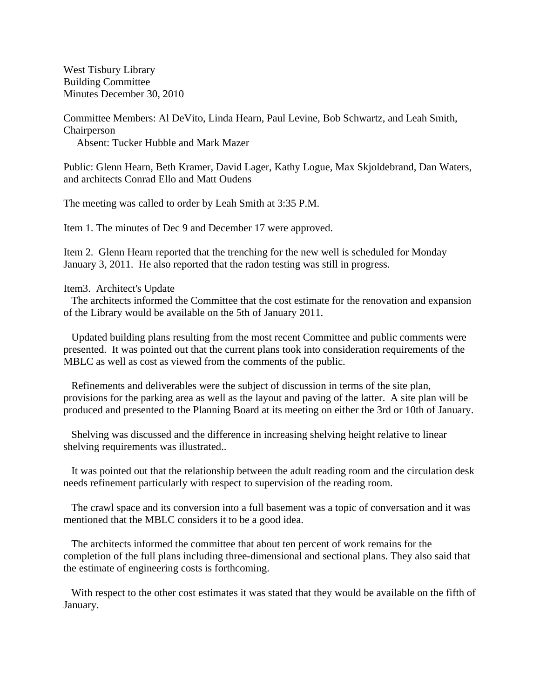West Tisbury Library Building Committee Minutes December 30, 2010

Committee Members: Al DeVito, Linda Hearn, Paul Levine, Bob Schwartz, and Leah Smith, Chairperson

Absent: Tucker Hubble and Mark Mazer

Public: Glenn Hearn, Beth Kramer, David Lager, Kathy Logue, Max Skjoldebrand, Dan Waters, and architects Conrad Ello and Matt Oudens

The meeting was called to order by Leah Smith at 3:35 P.M.

Item 1. The minutes of Dec 9 and December 17 were approved.

Item 2. Glenn Hearn reported that the trenching for the new well is scheduled for Monday January 3, 2011. He also reported that the radon testing was still in progress.

## Item3. Architect's Update

 The architects informed the Committee that the cost estimate for the renovation and expansion of the Library would be available on the 5th of January 2011.

 Updated building plans resulting from the most recent Committee and public comments were presented. It was pointed out that the current plans took into consideration requirements of the MBLC as well as cost as viewed from the comments of the public.

 Refinements and deliverables were the subject of discussion in terms of the site plan, provisions for the parking area as well as the layout and paving of the latter. A site plan will be produced and presented to the Planning Board at its meeting on either the 3rd or 10th of January.

 Shelving was discussed and the difference in increasing shelving height relative to linear shelving requirements was illustrated..

 It was pointed out that the relationship between the adult reading room and the circulation desk needs refinement particularly with respect to supervision of the reading room.

 The crawl space and its conversion into a full basement was a topic of conversation and it was mentioned that the MBLC considers it to be a good idea.

 The architects informed the committee that about ten percent of work remains for the completion of the full plans including three-dimensional and sectional plans. They also said that the estimate of engineering costs is forthcoming.

With respect to the other cost estimates it was stated that they would be available on the fifth of January.